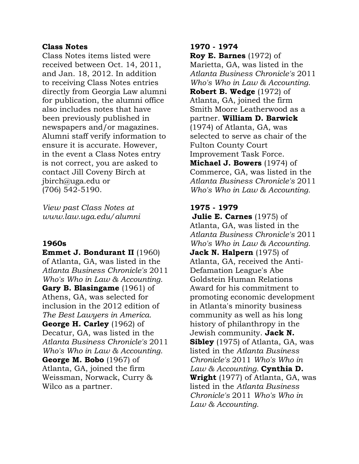## **Class Notes**

Class Notes items listed were received between Oct. 14, 2011, and Jan. 18, 2012. In addition to receiving Class Notes entries directly from Georgia Law alumni for publication, the alumni office also includes notes that have been previously published in newspapers and/or magazines. Alumni staff verify information to ensure it is accurate. However, in the event a Class Notes entry is not correct, you are asked to contact Jill Coveny Birch at jbirch@uga.edu or (706) 542-5190.

*View past Class Notes at www.law.uga.edu/alumni* 

## **1960s**

**Emmet J. Bondurant II** (1960) of Atlanta, GA, was listed in the *Atlanta Business Chronicle's* 2011 *Who's Who in Law & Accounting.*  **Gary B. Blasingame** (1961) of Athens, GA, was selected for inclusion in the 2012 edition of *The Best Lawyers in America.*  **George H. Carley** (1962) of Decatur, GA, was listed in the *Atlanta Business Chronicle's* 2011 *Who's Who in Law & Accounting.*  **George M. Bobo** (1967) of Atlanta, GA, joined the firm Weissman, Norwack, Curry & Wilco as a partner.

#### **1970 - 1974**

**Roy E. Barnes** (1972) of Marietta, GA, was listed in the *Atlanta Business Chronicle's* 2011 *Who's Who in Law & Accounting.*  **Robert B. Wedge** (1972) of Atlanta, GA, joined the firm Smith Moore Leatherwood as a partner. **William D. Barwick** (1974) of Atlanta, GA, was selected to serve as chair of the Fulton County Court Improvement Task Force. **Michael J. Bowers** (1974) of Commerce, GA, was listed in the *Atlanta Business Chronicle's* 2011 *Who's Who in Law & Accounting.* 

# **1975 - 1979**

**Julie E. Carnes** (1975) of Atlanta, GA, was listed in the *Atlanta Business Chronicle's* 2011 *Who's Who in Law & Accounting.*  **Jack N. Halpern** (1975) of Atlanta, GA, received the Anti-Defamation League's Abe Goldstein Human Relations Award for his commitment to promoting economic development in Atlanta's minority business community as well as his long history of philanthropy in the Jewish community. **Jack N. Sibley** (1975) of Atlanta, GA, was listed in the *Atlanta Business Chronicle's* 2011 *Who's Who in Law & Accounting.* **Cynthia D. Wright** (1977) of Atlanta, GA, was listed in the *Atlanta Business Chronicle's* 2011 *Who's Who in Law & Accounting.*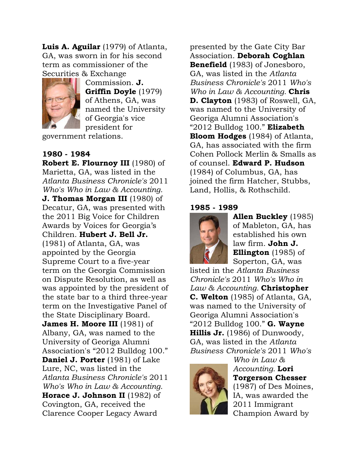**Luis A. Aguilar** (1979) of Atlanta, GA, was sworn in for his second term as commissioner of the Securities & Exchange



Commission. **J. Griffin Doyle** (1979) of Athens, GA, was named the University of Georgia's vice president for

government relations.

# **1980 - 1984**

**Robert E. Flournoy III** (1980) of Marietta, GA, was listed in the *Atlanta Business Chronicle's* 2011 *Who's Who in Law & Accounting.*  **J. Thomas Morgan III** (1980) of Decatur, GA, was presented with the 2011 Big Voice for Children Awards by Voices for Georgia's Children. **Hubert J. Bell Jr.** (1981) of Atlanta, GA, was appointed by the Georgia Supreme Court to a five-year term on the Georgia Commission on Dispute Resolution, as well as was appointed by the president of the state bar to a third three-year term on the Investigative Panel of the State Disciplinary Board. **James H. Moore III** (1981) of Albany, GA, was named to the University of Georiga Alumni Association's "2012 Bulldog 100." **Daniel J. Porter** (1981) of Lake Lure, NC, was listed in the *Atlanta Business Chronicle's* 2011 *Who's Who in Law & Accounting.*  **Horace J. Johnson II** (1982) of Covington, GA, received the Clarence Cooper Legacy Award

presented by the Gate City Bar Association. **Deborah Coghlan Benefield** (1983) of Jonesboro, GA, was listed in the *Atlanta Business Chronicle's* 2011 *Who's Who in Law & Accounting.* **Chris D. Clayton** (1983) of Roswell, GA, was named to the University of Georiga Alumni Association's "2012 Bulldog 100." **Elizabeth Bloom Hodges** (1984) of Atlanta, GA, has associated with the firm Cohen Pollock Merlin & Smalls as of counsel. **Edward P. Hudson** (1984) of Columbus, GA, has joined the firm Hatcher, Stubbs, Land, Hollis, & Rothschild.

## **1985 - 1989**



**Allen Buckley** (1985) of Mableton, GA, has established his own law firm. **John J. Ellington** (1985) of Soperton, GA, was

listed in the *Atlanta Business Chronicle's* 2011 *Who's Who in Law & Accounting.* **Christopher C. Welton** (1985) of Atlanta, GA, was named to the University of Georiga Alumni Association's "2012 Bulldog 100." **G. Wayne Hillis Jr.** (1986) of Dunwoody, GA, was listed in the *Atlanta Business Chronicle's* 2011 *Who's* 



*Who in Law & Accounting.* **Lori Torgerson Chesser** (1987) of Des Moines, IA, was awarded the 2011 Immigrant Champion Award by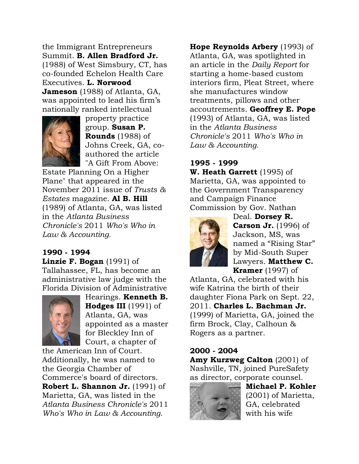the Immigrant Entrepreneurs Summit. **B. Allen Bradford Jr.** (1988) of West Simsbury, CT, has co-founded Echelon Health Care Executives. **L. Norwood Jameson** (1988) of Atlanta, GA, was appointed to lead his firm's nationally ranked intellectual



property practice group. **Susan P. Rounds** (1988) of Johns Creek, GA, coauthored the article "A Gift From Above:

Estate Planning On a Higher Plane" that appeared in the November 2011 issue of *Trusts & Estates* magazine. **Al B. Hill** (1989) of Atlanta, GA, was listed in the *Atlanta Business Chronicle's* 2011 *Who's Who in Law & Accounting.* 

# **1990 - 1994**

**Linzie F. Bogan** (1991) of Tallahassee, FL, has become an administrative law judge with the Florida Division of Administrative



Hearings. **Kenneth B. Hodges III** (1991) of Atlanta, GA, was appointed as a master for Bleckley Inn of Court, a chapter of

the American Inn of Court. Additionally, he was named to the Georgia Chamber of Commerce's board of directors. **Robert L. Shannon Jr.** (1991) of Marietta, GA, was listed in the *Atlanta Business Chronicle's* 2011 *Who's Who in Law & Accounting.* 

**Hope Reynolds Arbery** (1993) of Atlanta, GA, was spotlighted in an article in the *Daily Report* for starting a home-based custom interiors firm, Pleat Street, where she manufactures window treatments, pillows and other accoutrements. **Geoffrey E. Pope** (1993) of Atlanta, GA, was listed in the *Atlanta Business Chronicle's* 2011 *Who's Who in Law & Accounting.* 

# **1995 - 1999**

**W. Heath Garrett** (1995) of Marietta, GA, was appointed to the Government Transparency and Campaign Finance Commission by Gov. Nathan



Deal. **Dorsey R. Carson Jr.** (1996) of Jackson, MS, was named a "Rising Star" by Mid-South Super Lawyers. **Matthew C. Kramer** (1997) of

Atlanta, GA, celebrated with his wife Katrina the birth of their daughter Fiona Park on Sept. 22, 2011. **Charles L. Bachman Jr.** (1999) of Marietta, GA, joined the firm Brock, Clay, Calhoun & Rogers as a partner.

# **2000 - 2004**

**Amy Kurzweg Calton** (2001) of Nashville, TN, joined PureSafety as director, corporate counsel.



**Michael P. Kohler** (2001) of Marietta, GA, celebrated with his wife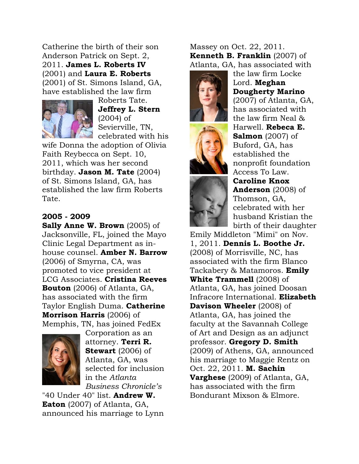Catherine the birth of their son Anderson Patrick on Sept. 2, 2011. **James L. Roberts IV** (2001) and **Laura E. Roberts** (2001) of St. Simons Island, GA, have established the law firm



Roberts Tate. **Jeffrey L. Stern** (2004) of Sevierville, TN, celebrated with his

wife Donna the adoption of Olivia Faith Reybecca on Sept. 10, 2011, which was her second birthday. **Jason M. Tate** (2004) of St. Simons Island, GA, has established the law firm Roberts Tate.

# **2005 - 2009**

**Sally Anne W. Brown** (2005) of Jacksonville, FL, joined the Mayo Clinic Legal Department as inhouse counsel. **Amber N. Barrow** (2006) of Smyrna, CA, was promoted to vice president at LCG Associates. **Cristina Reeves Bouton** (2006) of Atlanta, GA, has associated with the firm Taylor English Duma. **Catherine Morrison Harris** (2006) of Memphis, TN, has joined FedEx



Corporation as an attorney. **Terri R. Stewart** (2006) of Atlanta, GA, was selected for inclusion in the *Atlanta Business Chronicle's*

"40 Under 40" list. **Andrew W. Eaton** (2007) of Atlanta, GA, announced his marriage to Lynn Massey on Oct. 22, 2011. **Kenneth B. Franklin** (2007) of Atlanta, GA, has associated with





the law firm Locke Lord. **Meghan Dougherty Marino** (2007) of Atlanta, GA, has associated with the law firm Neal & Harwell. **Rebeca E. Salmon** (2007) of Buford, GA, has established the nonprofit foundation Access To Law. **Caroline Knox Anderson** (2008) of Thomson, GA,

celebrated with her husband Kristian the birth of their daughter

Emily Middleton "Mimi" on Nov. 1, 2011. **Dennis L. Boothe Jr.** (2008) of Morrisville, NC, has associated with the firm Blanco Tackabery & Matamoros. **Emily White Trammell** (2008) of Atlanta, GA, has joined Doosan Infracore International. **Elizabeth Davison Wheeler** (2008) of Atlanta, GA, has joined the faculty at the Savannah College of Art and Design as an adjunct professor. **Gregory D. Smith** (2009) of Athens, GA, announced his marriage to Maggie Rentz on Oct. 22, 2011. **M. Sachin Varghese** (2009) of Atlanta, GA, has associated with the firm Bondurant Mixson & Elmore.